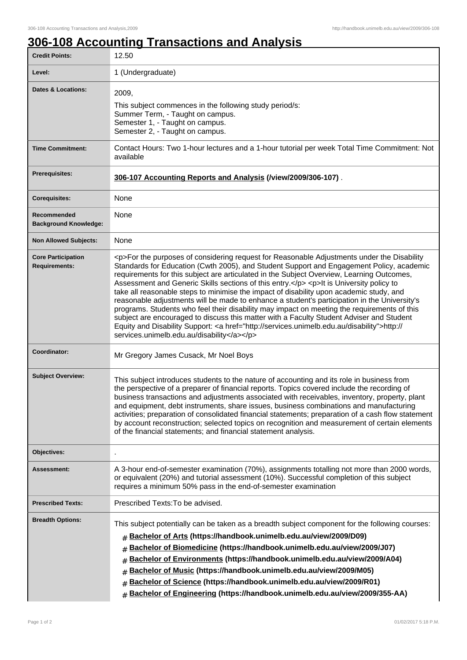٦

## **306-108 Accounting Transactions and Analysis**

| <b>Credit Points:</b>                             | 12.50                                                                                                                                                                                                                                                                                                                                                                                                                                                                                                                                                                                                                                                                                                                                                                                                                                                                                                                     |
|---------------------------------------------------|---------------------------------------------------------------------------------------------------------------------------------------------------------------------------------------------------------------------------------------------------------------------------------------------------------------------------------------------------------------------------------------------------------------------------------------------------------------------------------------------------------------------------------------------------------------------------------------------------------------------------------------------------------------------------------------------------------------------------------------------------------------------------------------------------------------------------------------------------------------------------------------------------------------------------|
| Level:                                            | 1 (Undergraduate)                                                                                                                                                                                                                                                                                                                                                                                                                                                                                                                                                                                                                                                                                                                                                                                                                                                                                                         |
| <b>Dates &amp; Locations:</b>                     | 2009,<br>This subject commences in the following study period/s:<br>Summer Term, - Taught on campus.<br>Semester 1, - Taught on campus.<br>Semester 2, - Taught on campus.                                                                                                                                                                                                                                                                                                                                                                                                                                                                                                                                                                                                                                                                                                                                                |
| <b>Time Commitment:</b>                           | Contact Hours: Two 1-hour lectures and a 1-hour tutorial per week Total Time Commitment: Not<br>available                                                                                                                                                                                                                                                                                                                                                                                                                                                                                                                                                                                                                                                                                                                                                                                                                 |
| <b>Prerequisites:</b>                             | 306-107 Accounting Reports and Analysis (/view/2009/306-107).                                                                                                                                                                                                                                                                                                                                                                                                                                                                                                                                                                                                                                                                                                                                                                                                                                                             |
| <b>Corequisites:</b>                              | None                                                                                                                                                                                                                                                                                                                                                                                                                                                                                                                                                                                                                                                                                                                                                                                                                                                                                                                      |
| Recommended<br><b>Background Knowledge:</b>       | None                                                                                                                                                                                                                                                                                                                                                                                                                                                                                                                                                                                                                                                                                                                                                                                                                                                                                                                      |
| <b>Non Allowed Subjects:</b>                      | None                                                                                                                                                                                                                                                                                                                                                                                                                                                                                                                                                                                                                                                                                                                                                                                                                                                                                                                      |
| <b>Core Participation</b><br><b>Requirements:</b> | <p>For the purposes of considering request for Reasonable Adjustments under the Disability<br/>Standards for Education (Cwth 2005), and Student Support and Engagement Policy, academic<br/>requirements for this subject are articulated in the Subject Overview, Learning Outcomes,<br/>Assessment and Generic Skills sections of this entry.</p> <p>lt is University policy to<br/>take all reasonable steps to minimise the impact of disability upon academic study, and<br/>reasonable adjustments will be made to enhance a student's participation in the University's<br/>programs. Students who feel their disability may impact on meeting the requirements of this<br/>subject are encouraged to discuss this matter with a Faculty Student Adviser and Student<br/>Equity and Disability Support: <a href="http://services.unimelb.edu.au/disability">http://<br/>services.unimelb.edu.au/disability</a></p> |
| Coordinator:                                      | Mr Gregory James Cusack, Mr Noel Boys                                                                                                                                                                                                                                                                                                                                                                                                                                                                                                                                                                                                                                                                                                                                                                                                                                                                                     |
| <b>Subject Overview:</b>                          | This subject introduces students to the nature of accounting and its role in business from<br>the perspective of a preparer of financial reports. Topics covered include the recording of<br>business transactions and adjustments associated with receivables, inventory, property, plant<br>and equipment, debt instruments, share issues, business combinations and manufacturing<br>activities; preparation of consolidated financial statements; preparation of a cash flow statement<br>by account reconstruction; selected topics on recognition and measurement of certain elements<br>of the financial statements; and financial statement analysis.                                                                                                                                                                                                                                                             |
| Objectives:                                       |                                                                                                                                                                                                                                                                                                                                                                                                                                                                                                                                                                                                                                                                                                                                                                                                                                                                                                                           |
| Assessment:                                       | A 3-hour end-of-semester examination (70%), assignments totalling not more than 2000 words,<br>or equivalent (20%) and tutorial assessment (10%). Successful completion of this subject<br>requires a minimum 50% pass in the end-of-semester examination                                                                                                                                                                                                                                                                                                                                                                                                                                                                                                                                                                                                                                                                 |
| <b>Prescribed Texts:</b>                          | Prescribed Texts: To be advised.                                                                                                                                                                                                                                                                                                                                                                                                                                                                                                                                                                                                                                                                                                                                                                                                                                                                                          |
| <b>Breadth Options:</b>                           | This subject potentially can be taken as a breadth subject component for the following courses:<br>Bachelor of Arts (https://handbook.unimelb.edu.au/view/2009/D09)<br>#<br>Bachelor of Biomedicine (https://handbook.unimelb.edu.au/view/2009/J07)<br>#<br>Bachelor of Environments (https://handbook.unimelb.edu.au/view/2009/A04)<br>#<br>Bachelor of Music (https://handbook.unimelb.edu.au/view/2009/M05)<br>#<br>Bachelor of Science (https://handbook.unimelb.edu.au/view/2009/R01)<br>#<br>Bachelor of Engineering (https://handbook.unimelb.edu.au/view/2009/355-AA)<br>#                                                                                                                                                                                                                                                                                                                                        |